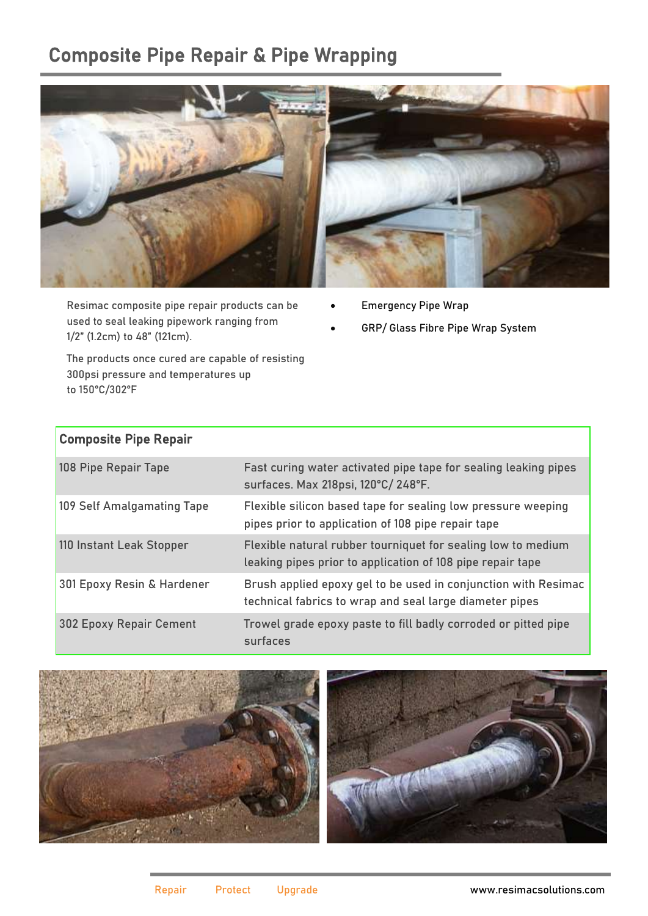## Composite Pipe Repair & Pipe Wrapping



Resimac composite pipe repair products can be used to seal leaking pipework ranging from 1/2" (1.2cm) to 48" (121cm).

The products once cured are capable of resisting 300psi pressure and temperatures up to 150°C/302°F

- Emergency Pipe Wrap
- GRP/ Glass Fibre Pipe Wrap System

| <b>Composite Pipe Repair</b>   |                                                                                                                            |
|--------------------------------|----------------------------------------------------------------------------------------------------------------------------|
| 108 Pipe Repair Tape           | Fast curing water activated pipe tape for sealing leaking pipes<br>surfaces. Max 218psi, 120°C/248°F.                      |
| 109 Self Amalgamating Tape     | Flexible silicon based tape for sealing low pressure weeping<br>pipes prior to application of 108 pipe repair tape         |
| 110 Instant Leak Stopper       | Flexible natural rubber tourniquet for sealing low to medium<br>leaking pipes prior to application of 108 pipe repair tape |
| 301 Epoxy Resin & Hardener     | Brush applied epoxy gel to be used in conjunction with Resimac<br>technical fabrics to wrap and seal large diameter pipes  |
| <b>302 Epoxy Repair Cement</b> | Trowel grade epoxy paste to fill badly corroded or pitted pipe<br>surfaces                                                 |